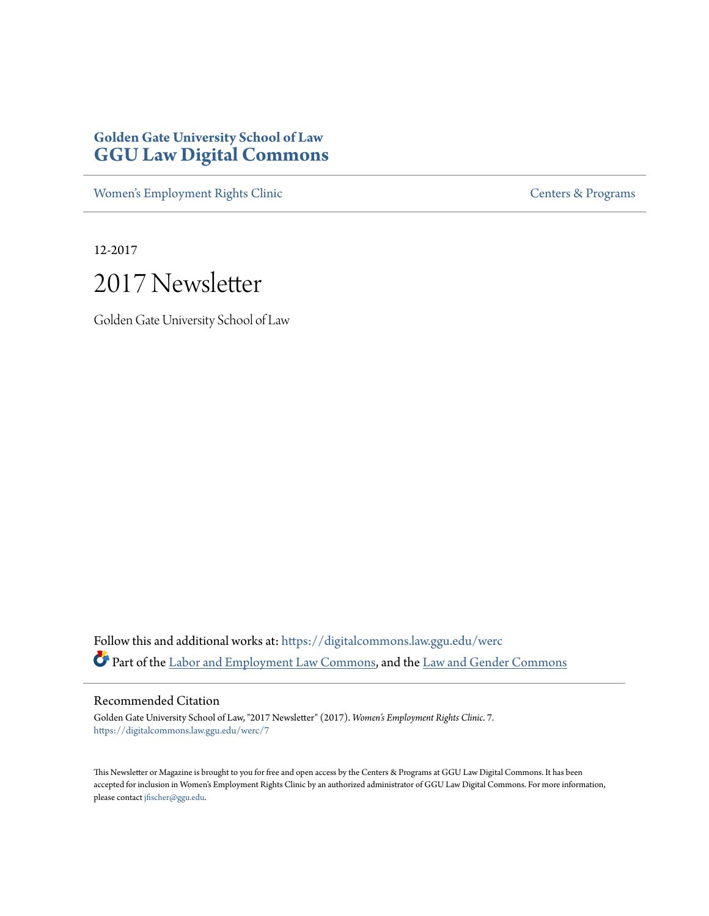# **Golden Gate University School of Law [GGU Law Digital Commons](https://digitalcommons.law.ggu.edu?utm_source=digitalcommons.law.ggu.edu%2Fwerc%2F7&utm_medium=PDF&utm_campaign=PDFCoverPages)**

[Women's Employment Rights Clinic](https://digitalcommons.law.ggu.edu/werc?utm_source=digitalcommons.law.ggu.edu%2Fwerc%2F7&utm_medium=PDF&utm_campaign=PDFCoverPages) [Centers & Programs](https://digitalcommons.law.ggu.edu/centers?utm_source=digitalcommons.law.ggu.edu%2Fwerc%2F7&utm_medium=PDF&utm_campaign=PDFCoverPages)

12-2017

# 2017 Newsletter

Golden Gate University School of Law

Follow this and additional works at: [https://digitalcommons.law.ggu.edu/werc](https://digitalcommons.law.ggu.edu/werc?utm_source=digitalcommons.law.ggu.edu%2Fwerc%2F7&utm_medium=PDF&utm_campaign=PDFCoverPages) Part of the [Labor and Employment Law Commons,](http://network.bepress.com/hgg/discipline/909?utm_source=digitalcommons.law.ggu.edu%2Fwerc%2F7&utm_medium=PDF&utm_campaign=PDFCoverPages) and the [Law and Gender Commons](http://network.bepress.com/hgg/discipline/1298?utm_source=digitalcommons.law.ggu.edu%2Fwerc%2F7&utm_medium=PDF&utm_campaign=PDFCoverPages)

Recommended Citation

Golden Gate University School of Law, "2017 Newsletter" (2017). *Women's Employment Rights Clinic*. 7. [https://digitalcommons.law.ggu.edu/werc/7](https://digitalcommons.law.ggu.edu/werc/7?utm_source=digitalcommons.law.ggu.edu%2Fwerc%2F7&utm_medium=PDF&utm_campaign=PDFCoverPages)

This Newsletter or Magazine is brought to you for free and open access by the Centers & Programs at GGU Law Digital Commons. It has been accepted for inclusion in Women's Employment Rights Clinic by an authorized administrator of GGU Law Digital Commons. For more information, please contact [jfischer@ggu.edu.](mailto:jfischer@ggu.edu)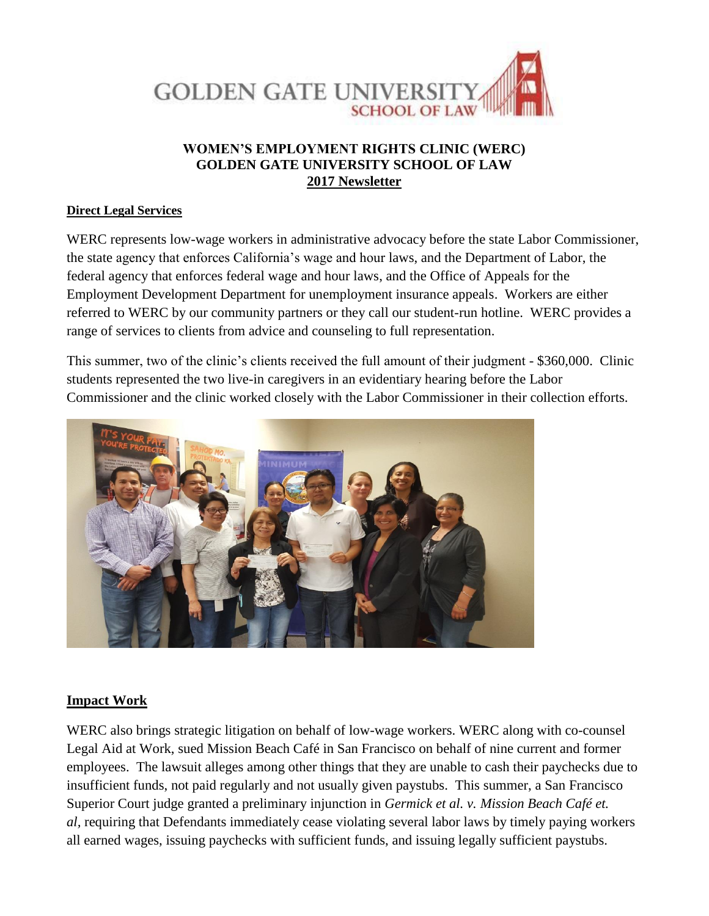

### **WOMEN'S EMPLOYMENT RIGHTS CLINIC (WERC) GOLDEN GATE UNIVERSITY SCHOOL OF LAW 2017 Newsletter**

#### **Direct Legal Services**

WERC represents low-wage workers in administrative advocacy before the state Labor Commissioner, the state agency that enforces California's wage and hour laws, and the Department of Labor, the federal agency that enforces federal wage and hour laws, and the Office of Appeals for the Employment Development Department for unemployment insurance appeals. Workers are either referred to WERC by our community partners or they call our student-run hotline. WERC provides a range of services to clients from advice and counseling to full representation.

This summer, two of the clinic's clients received the full amount of their judgment - \$360,000. Clinic students represented the two live-in caregivers in an evidentiary hearing before the Labor Commissioner and the clinic worked closely with the Labor Commissioner in their collection efforts.



#### **Impact Work**

WERC also brings strategic litigation on behalf of low-wage workers. WERC along with co-counsel Legal Aid at Work, sued Mission Beach Café in San Francisco on behalf of nine current and former employees. The lawsuit alleges among other things that they are unable to cash their paychecks due to insufficient funds, not paid regularly and not usually given paystubs. This summer, a San Francisco Superior Court judge granted a preliminary injunction in *Germick et al. v. Mission Beach Café et. al,* requiring that Defendants immediately cease violating several labor laws by timely paying workers all earned wages, issuing paychecks with sufficient funds, and issuing legally sufficient paystubs.